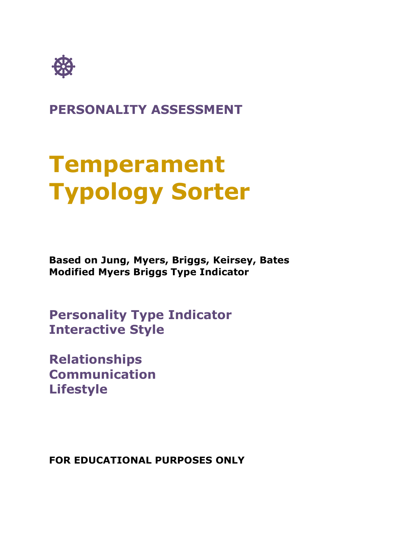

**PERSONALITY ASSESSMENT**

# **Temperament Typology Sorter**

**Based on Jung, Myers, Briggs, Keirsey, Bates Modified Myers Briggs Type Indicator**

**Personality Type Indicator Interactive Style**

**Relationships Communication Lifestyle**

**FOR EDUCATIONAL PURPOSES ONLY**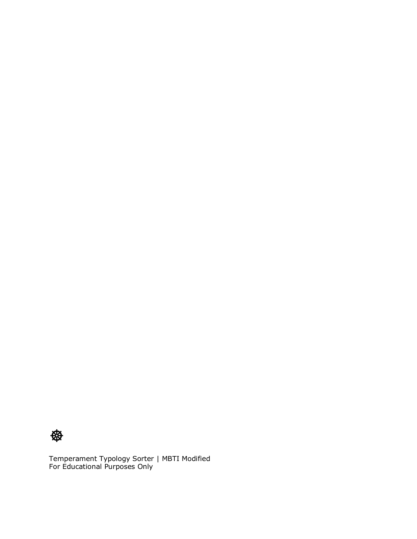

Temperament Typology Sorter | MBTI Modified For Educational Purposes Only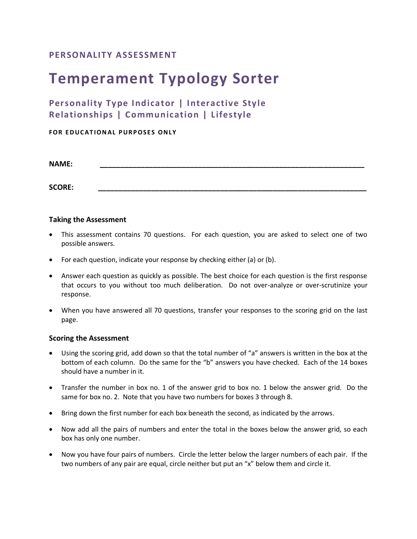### **PERSONALITY ASSESSMENT**

# **Temperament Typology Sorter**

## **Personality Type Indicator | Interactive Style Relationships | Communication | Lifestyle**

#### **FOR EDUCATIONAL PURPOSES ONLY**

**NAME: \_\_\_\_\_\_\_\_\_\_\_\_\_\_\_\_\_\_\_\_\_\_\_\_\_\_\_\_\_\_\_\_\_\_\_\_\_\_\_\_\_\_\_\_\_\_\_\_\_\_\_\_\_\_\_\_\_\_\_\_\_\_\_\_\_**

**SCORE: \_\_\_\_\_\_\_\_\_\_\_\_\_\_\_\_\_\_\_\_\_\_\_\_\_\_\_\_\_\_\_\_\_\_\_\_\_\_\_\_\_\_\_\_\_\_\_\_\_\_\_\_\_\_\_\_\_\_\_\_\_\_\_\_\_\_**

#### **Taking the Assessment**

- This assessment contains 70 questions. For each question, you are asked to select one of two possible answers.
- For each question, indicate your response by checking either (a) or (b).
- Answer each question as quickly as possible. The best choice for each question is the first response that occurs to you without too much deliberation. Do not over-analyze or over-scrutinize your response.
- When you have answered all 70 questions, transfer your responses to the scoring grid on the last page.

#### **Scoring the Assessment**

- Using the scoring grid, add down so that the total number of "a" answers is written in the box at the bottom of each column. Do the same for the "b" answers you have checked. Each of the 14 boxes should have a number in it.
- Transfer the number in box no. 1 of the answer grid to box no. 1 below the answer grid. Do the same for box no. 2. Note that you have two numbers for boxes 3 through 8.
- Bring down the first number for each box beneath the second, as indicated by the arrows.
- Now add all the pairs of numbers and enter the total in the boxes below the answer grid, so each box has only one number.
- Now you have four pairs of numbers. Circle the letter below the larger numbers of each pair. If the two numbers of any pair are equal, circle neither but put an "x" below them and circle it.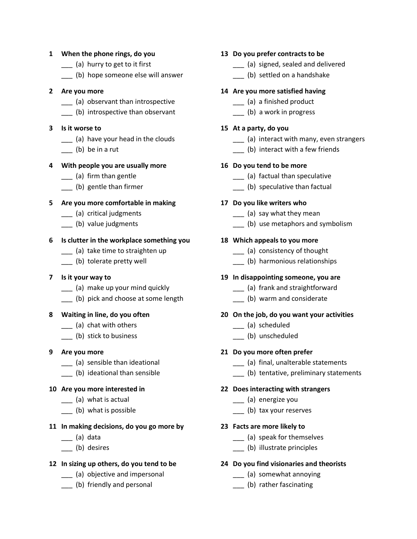#### **1 When the phone rings, do you**

- \_\_\_ (a) hurry to get to it first
- \_\_\_ (b) hope someone else will answer

#### **2 Are you more**

- \_\_\_ (a) observant than introspective
- (b) introspective than observant

#### **3 Is it worse to**

- \_\_\_ (a) have your head in the clouds
- \_\_\_ (b) be in a rut

#### **4 With people you are usually more**

- \_\_\_ (a) firm than gentle
- \_\_\_ (b) gentle than firmer

#### **5 Are you more comfortable in making**

- \_\_\_ (a) critical judgments
- \_\_ (b) value judgments

#### **6 Is clutter in the workplace something you**

- \_\_\_ (a) take time to straighten up
- \_\_\_ (b) tolerate pretty well
- **7 Is it your way to**
	- \_\_\_ (a) make up your mind quickly
	- \_\_\_ (b) pick and choose at some length

#### **8 Waiting in line, do you often**

- \_\_\_ (a) chat with others
- \_\_\_ (b) stick to business

#### **9 Are you more**

- \_\_\_ (a) sensible than ideational
- \_\_\_ (b) ideational than sensible

#### **10 Are you more interested in**

- \_\_\_ (a) what is actual
- \_\_\_ (b) what is possible

#### **11 In making decisions, do you go more by**

- \_\_\_ (a) data
- \_\_\_ (b) desires

#### **12 In sizing up others, do you tend to be**

- \_\_\_ (a) objective and impersonal
- \_\_\_ (b) friendly and personal

#### **13 Do you prefer contracts to be**

- \_\_\_ (a) signed, sealed and delivered
- (b) settled on a handshake

#### **14 Are you more satisfied having**

- \_\_\_ (a) a finished product
- \_\_\_ (b) a work in progress

#### **15 At a party, do you**

- \_\_\_ (a) interact with many, even strangers
- (b) interact with a few friends

#### **16 Do you tend to be more**

- \_\_\_ (a) factual than speculative
- \_\_\_ (b) speculative than factual

#### **17 Do you like writers who**

- \_\_\_ (a) say what they mean
- \_\_\_ (b) use metaphors and symbolism

#### **18 Which appeals to you more**

- \_\_\_ (a) consistency of thought
- \_\_\_ (b) harmonious relationships

#### **19 In disappointing someone, you are**

- \_\_\_ (a) frank and straightforward
- \_\_\_ (b) warm and considerate

#### **20 On the job, do you want your activities**

- \_\_\_ (a) scheduled
- \_\_\_ (b) unscheduled

#### **21 Do you more often prefer**

- \_\_\_ (a) final, unalterable statements
- \_\_\_ (b) tentative, preliminary statements

#### **22 Does interacting with strangers**

- \_\_\_ (a) energize you
- \_\_\_ (b) tax your reserves

#### **23 Facts are more likely to**

- \_\_\_ (a) speak for themselves
- \_\_\_ (b) illustrate principles

#### **24 Do you find visionaries and theorists**

- \_\_\_ (a) somewhat annoying
- \_\_\_ (b) rather fascinating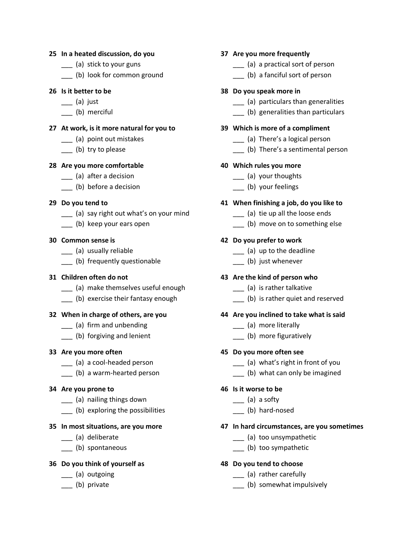#### **25 In a heated discussion, do you**

- \_\_\_ (a) stick to your guns
- \_\_\_ (b) look for common ground

#### **26 Is it better to be**

- \_\_\_ (a) just
- (b) merciful

#### **27 At work, is it more natural for you to**

- \_\_\_ (a) point out mistakes
- (b) try to please

#### **28 Are you more comfortable**

- \_\_\_ (a) after a decision
- \_\_\_ (b) before a decision

#### **29 Do you tend to**

- \_\_\_ (a) say right out what's on your mind
- \_\_\_ (b) keep your ears open

#### **30 Common sense is**

- \_\_\_ (a) usually reliable
- \_\_\_ (b) frequently questionable

#### **31 Children often do not**

- \_\_\_ (a) make themselves useful enough
- \_\_\_ (b) exercise their fantasy enough

#### **32 When in charge of others, are you**

- \_\_\_ (a) firm and unbending
- \_\_\_ (b) forgiving and lenient

#### **33 Are you more often**

- \_\_\_ (a) a cool-headed person
- \_\_\_ (b) a warm-hearted person

#### **34 Are you prone to**

- \_\_\_ (a) nailing things down
- \_\_\_ (b) exploring the possibilities

#### **35 In most situations, are you more**

- \_\_\_ (a) deliberate
- \_\_\_ (b) spontaneous

#### **36 Do you think of yourself as**

- \_\_\_ (a) outgoing
- \_\_\_ (b) private

#### **37 Are you more frequently**

- \_\_\_ (a) a practical sort of person
- \_\_\_ (b) a fanciful sort of person

#### **38 Do you speak more in**

- \_\_\_ (a) particulars than generalities
- \_\_\_ (b) generalities than particulars

#### **39 Which is more of a compliment**

- \_\_\_ (a) There's a logical person
- \_\_\_ (b) There's a sentimental person

#### **40 Which rules you more**

- \_\_\_ (a) your thoughts
- \_\_\_ (b) your feelings

#### **41 When finishing a job, do you like to**

- \_\_\_ (a) tie up all the loose ends
- \_\_\_ (b) move on to something else

#### **42 Do you prefer to work**

- \_\_\_ (a) up to the deadline
- \_\_\_ (b) just whenever

#### **43 Are the kind of person who**

- \_\_\_ (a) is rather talkative
- \_\_\_ (b) is rather quiet and reserved

#### **44 Are you inclined to take what is said**

- \_\_\_ (a) more literally
- \_\_\_ (b) more figuratively

#### **45 Do you more often see**

- \_\_\_ (a) what's right in front of you
- \_\_\_ (b) what can only be imagined
- **46 Is it worse to be**
	- \_\_\_ (a) a softy
	- \_\_\_ (b) hard-nosed

#### **47 In hard circumstances, are you sometimes**

- \_\_\_ (a) too unsympathetic
- \_\_\_ (b) too sympathetic

#### **48 Do you tend to choose**

- \_\_\_ (a) rather carefully
- \_\_\_ (b) somewhat impulsively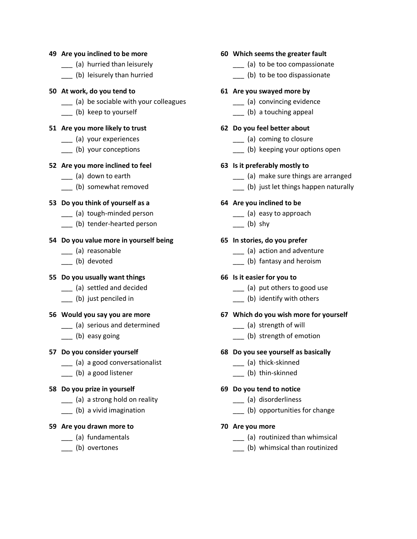#### **49 Are you inclined to be more**

- \_\_\_ (a) hurried than leisurely
- \_\_\_ (b) leisurely than hurried

#### **50 At work, do you tend to**

- \_\_\_ (a) be sociable with your colleagues
- \_\_\_ (b) keep to yourself

#### **51 Are you more likely to trust**

- \_\_\_ (a) your experiences
- (b) your conceptions

#### **52 Are you more inclined to feel**

- \_\_\_ (a) down to earth
- \_\_\_ (b) somewhat removed

#### **53 Do you think of yourself as a**

- \_\_\_ (a) tough-minded person
- \_\_\_ (b) tender-hearted person

#### **54 Do you value more in yourself being**

- \_\_\_ (a) reasonable
- \_\_\_ (b) devoted

#### **55 Do you usually want things**

- \_\_\_ (a) settled and decided
- \_\_\_ (b) just penciled in

#### **56 Would you say you are more**

- \_\_\_ (a) serious and determined
- \_\_\_ (b) easy going

#### **57 Do you consider yourself**

- \_\_\_ (a) a good conversationalist
- \_\_\_ (b) a good listener

#### **58 Do you prize in yourself**

- \_\_\_ (a) a strong hold on reality
- \_\_\_ (b) a vivid imagination

#### **59 Are you drawn more to**

- \_\_\_ (a) fundamentals
- \_\_\_ (b) overtones

#### **60 Which seems the greater fault**

- \_\_\_ (a) to be too compassionate
- (b) to be too dispassionate

#### **61 Are you swayed more by**

- \_\_\_ (a) convincing evidence
- \_\_\_ (b) a touching appeal

#### **62 Do you feel better about**

- \_\_\_ (a) coming to closure
- \_\_\_ (b) keeping your options open

#### **63 Is it preferably mostly to**

- \_\_\_ (a) make sure things are arranged
- \_\_\_ (b) just let things happen naturally

#### **64 Are you inclined to be**

- \_\_\_ (a) easy to approach
- $\frac{1}{\sqrt{2}}$  (b) shy

#### **65 In stories, do you prefer**

- \_\_\_ (a) action and adventure
- \_\_\_ (b) fantasy and heroism

#### **66 Is it easier for you to**

- \_\_\_ (a) put others to good use
- \_\_\_ (b) identify with others

#### **67 Which do you wish more for yourself**

- \_\_\_ (a) strength of will
- \_\_\_ (b) strength of emotion

#### **68 Do you see yourself as basically**

- \_\_\_ (a) thick-skinned
- \_\_\_ (b) thin-skinned

#### **69 Do you tend to notice**

- \_\_\_ (a) disorderliness
- \_\_\_ (b) opportunities for change

#### **70 Are you more**

- \_\_\_ (a) routinized than whimsical
- \_\_\_ (b) whimsical than routinized